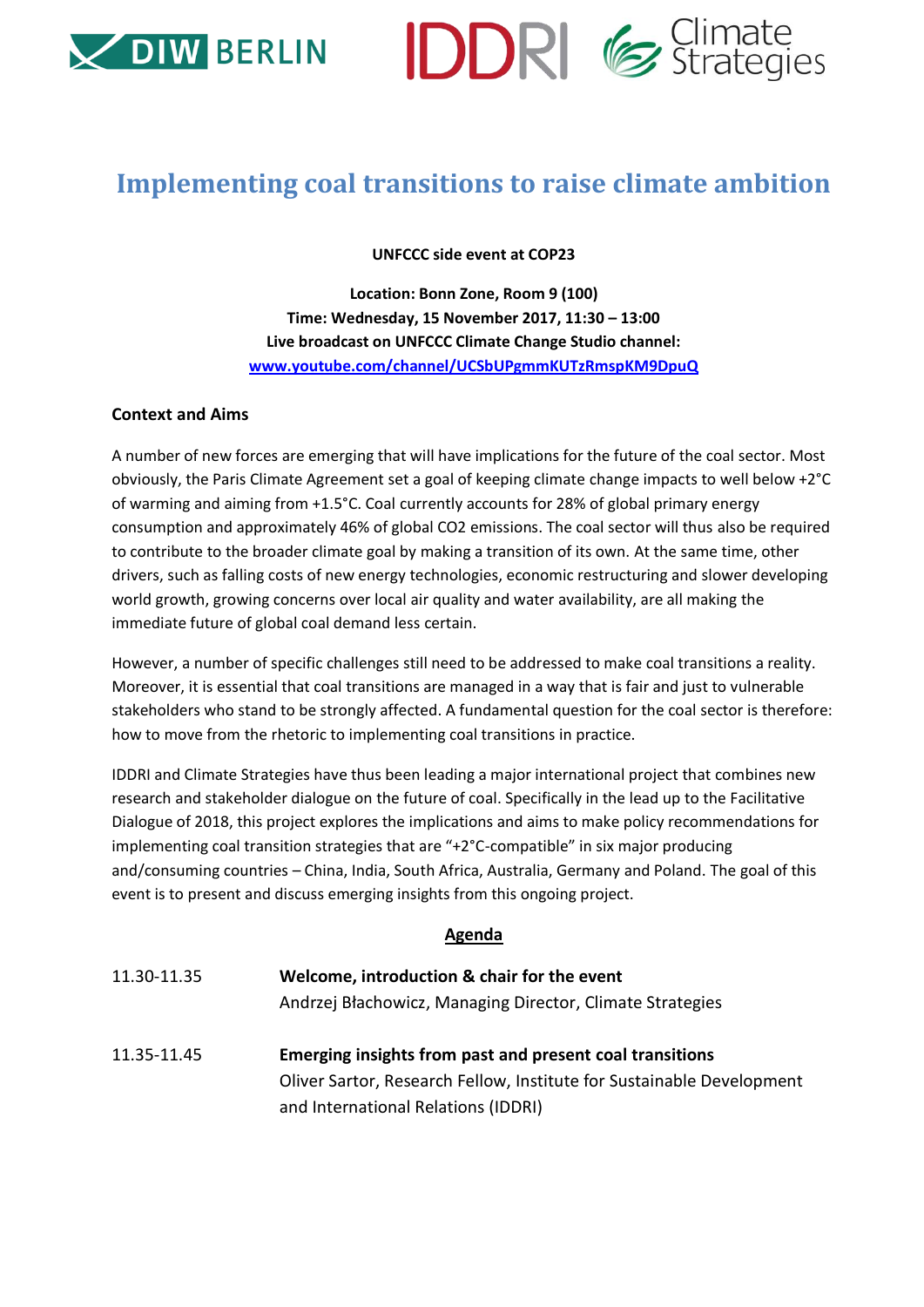



## **Implementing coal transitions to raise climate ambition**

**UNFCCC side event at COP23**

**Location: Bonn Zone, Room 9 (100) Time: Wednesday, 15 November 2017, 11:30 – 13:00 Live broadcast on UNFCCC Climate Change Studio channel: [www.youtube.com/channel/UCSbUPgmmKUTzRmspKM9DpuQ](http://www.youtube.com/channel/UCSbUPgmmKUTzRmspKM9DpuQ)**

## **Context and Aims**

A number of new forces are emerging that will have implications for the future of the coal sector. Most obviously, the Paris Climate Agreement set a goal of keeping climate change impacts to well below +2°C of warming and aiming from +1.5°C. Coal currently accounts for 28% of global primary energy consumption and approximately 46% of global CO2 emissions. The coal sector will thus also be required to contribute to the broader climate goal by making a transition of its own. At the same time, other drivers, such as falling costs of new energy technologies, economic restructuring and slower developing world growth, growing concerns over local air quality and water availability, are all making the immediate future of global coal demand less certain.

However, a number of specific challenges still need to be addressed to make coal transitions a reality. Moreover, it is essential that coal transitions are managed in a way that is fair and just to vulnerable stakeholders who stand to be strongly affected. A fundamental question for the coal sector is therefore: how to move from the rhetoric to implementing coal transitions in practice.

IDDRI and Climate Strategies have thus been leading a major international project that combines new research and stakeholder dialogue on the future of coal. Specifically in the lead up to the Facilitative Dialogue of 2018, this project explores the implications and aims to make policy recommendations for implementing coal transition strategies that are "+2°C-compatible" in six major producing and/consuming countries – China, India, South Africa, Australia, Germany and Poland. The goal of this event is to present and discuss emerging insights from this ongoing project.

## **Agenda**

- 11.30-11.35 **Welcome, introduction & chair for the event** Andrzej Błachowicz, Managing Director, Climate Strategies
- 11.35-11.45 **Emerging insights from past and present coal transitions**  Oliver Sartor, Research Fellow, Institute for Sustainable Development and International Relations (IDDRI)